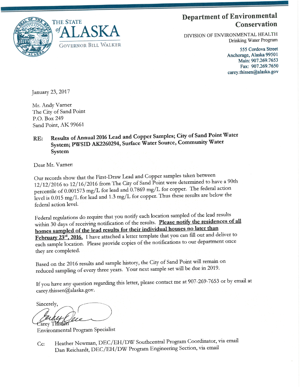

## **Department of Environmental** Conservation

DIVISION OF ENVIRONMENTAL HEALTH Drinking Water Program

> 555 Cordova Street Anchorage, Alaska 99501 Main: 907.269.7653 Fax: 907.269.7650 carey.thissen@alaska.gov

January 23, 2017

Mr. Andy Varner The City of Sand Point P.O. Box 249 Sand Point, AK 99661

## Results of Annual 2016 Lead and Copper Samples; City of Sand Point Water RE: System; PWSID AK2260294, Surface Water Source, Community Water System

Dear Mr. Varner:

Our records show that the First-Draw Lead and Copper samples taken between 12/12/2016 to 12/16/2016 from The City of Sand Point were determined to have a 90th percentile of 0.001573 mg/L for lead and 0.7869 mg/L for copper. The federal action level is 0.015 mg/L for lead and 1.3 mg/L for copper. Thus these results are below the federal action level.

Federal regulations do require that you notify each location sampled of the lead results within 30 days of receiving notification of the results. Please notify the residences of all homes sampled of the lead results for their individual houses no later than February 23rd, 2016. I have attached a letter template that you can fill out and deliver to each sample location. Please provide copies of the notifications to our department once they are completed.

Based on the 2016 results and sample history, the City of Sand Point will remain on reduced sampling of every three years. Your next sample set will be due in 2019.

If you have any question regarding this letter, please contact me at 907-269-7653 or by email at carey.thissen@alaska.gov.

Sincerely, **Zarey Thiske** 

**Environmental Program Specialist** 

Heather Newman, DEC/EH/DW Southcentral Program Coordinator, via email Cc: Dan Reichardt, DEC/EH/DW Program Engineering Section, via email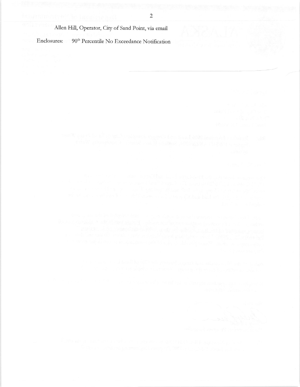## Allen Hill, Operator, City of Sand Point, via email

Enclosures: 90<sup>th</sup> Percentile No Exceedance Notification